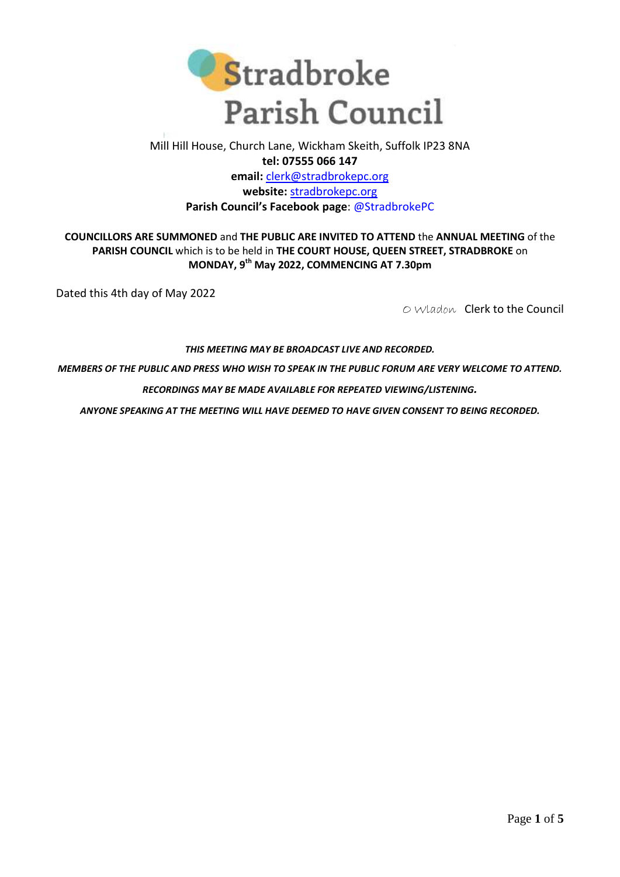

## Mill Hill House, Church Lane, Wickham Skeith, Suffolk IP23 8NA **tel: 07555 066 147 email:** [clerk@stradbrokepc.org](mailto:clerk@stradbrokepc.org) **website:** [stradbrokepc.org](http://www.stradbrokepc.org/) **Parish Council's Facebook page**: [@StradbrokePC](https://www.facebook.com/StradbrokePC)

## **COUNCILLORS ARE SUMMONED** and **THE PUBLIC ARE INVITED TO ATTEND** the **ANNUAL MEETING** of the **PARISH COUNCIL** which is to be held in **THE COURT HOUSE, QUEEN STREET, STRADBROKE** on **MONDAY, 9 th May 2022, COMMENCING AT 7.30pm**

Dated this 4th day of May 2022

O Wladon Clerk to the Council

## *THIS MEETING MAY BE BROADCAST LIVE AND RECORDED.*

*MEMBERS OF THE PUBLIC AND PRESS WHO WISH TO SPEAK IN THE PUBLIC FORUM ARE VERY WELCOME TO ATTEND.*

*RECORDINGS MAY BE MADE AVAILABLE FOR REPEATED VIEWING/LISTENING.*

*ANYONE SPEAKING AT THE MEETING WILL HAVE DEEMED TO HAVE GIVEN CONSENT TO BEING RECORDED.*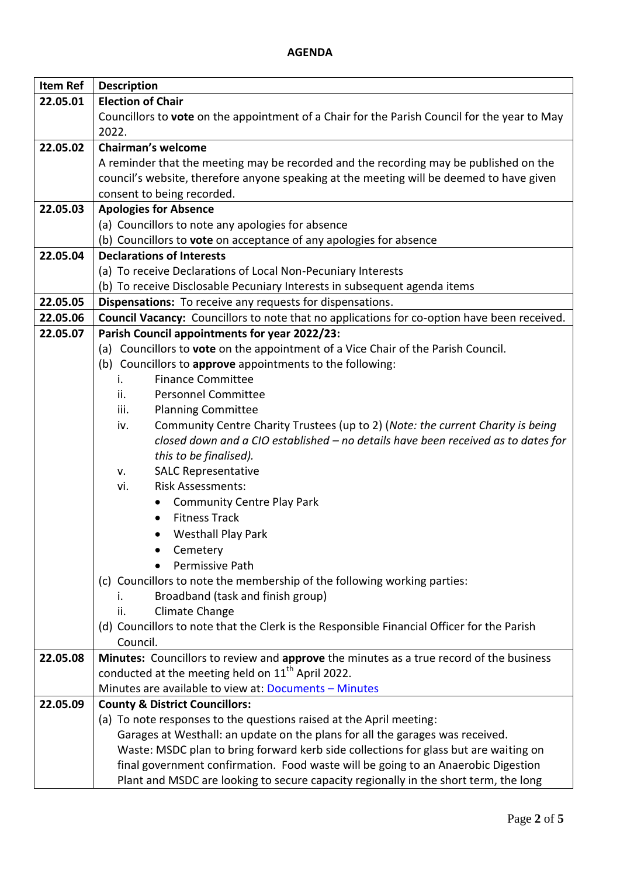## **AGENDA**

| <b>Item Ref</b> | <b>Description</b>                                                                                                     |
|-----------------|------------------------------------------------------------------------------------------------------------------------|
| 22.05.01        | <b>Election of Chair</b>                                                                                               |
|                 | Councillors to vote on the appointment of a Chair for the Parish Council for the year to May                           |
|                 | 2022.                                                                                                                  |
| 22.05.02        | <b>Chairman's welcome</b>                                                                                              |
|                 | A reminder that the meeting may be recorded and the recording may be published on the                                  |
|                 | council's website, therefore anyone speaking at the meeting will be deemed to have given                               |
|                 | consent to being recorded.                                                                                             |
| 22.05.03        | <b>Apologies for Absence</b>                                                                                           |
|                 | (a) Councillors to note any apologies for absence                                                                      |
|                 | (b) Councillors to vote on acceptance of any apologies for absence                                                     |
| 22.05.04        | <b>Declarations of Interests</b>                                                                                       |
|                 | (a) To receive Declarations of Local Non-Pecuniary Interests                                                           |
|                 | (b) To receive Disclosable Pecuniary Interests in subsequent agenda items                                              |
| 22.05.05        | Dispensations: To receive any requests for dispensations.                                                              |
| 22.05.06        | Council Vacancy: Councillors to note that no applications for co-option have been received.                            |
| 22.05.07        | Parish Council appointments for year 2022/23:                                                                          |
|                 | (a) Councillors to vote on the appointment of a Vice Chair of the Parish Council.                                      |
|                 | (b) Councillors to approve appointments to the following:                                                              |
|                 | <b>Finance Committee</b><br>i.                                                                                         |
|                 | <b>Personnel Committee</b><br>ii.                                                                                      |
|                 | iii.<br><b>Planning Committee</b>                                                                                      |
|                 | Community Centre Charity Trustees (up to 2) (Note: the current Charity is being<br>iv.                                 |
|                 | closed down and a CIO established - no details have been received as to dates for                                      |
|                 | this to be finalised).                                                                                                 |
|                 | <b>SALC Representative</b><br>v.                                                                                       |
|                 | <b>Risk Assessments:</b><br>vi.                                                                                        |
|                 | <b>Community Centre Play Park</b>                                                                                      |
|                 | <b>Fitness Track</b>                                                                                                   |
|                 | <b>Westhall Play Park</b>                                                                                              |
|                 |                                                                                                                        |
|                 | Cemetery                                                                                                               |
|                 | Permissive Path                                                                                                        |
|                 | (c) Councillors to note the membership of the following working parties:                                               |
|                 | Broadband (task and finish group)<br>L.                                                                                |
|                 | Climate Change<br>ii.                                                                                                  |
|                 | (d) Councillors to note that the Clerk is the Responsible Financial Officer for the Parish                             |
|                 | Council.                                                                                                               |
| 22.05.08        | Minutes: Councillors to review and approve the minutes as a true record of the business                                |
|                 | conducted at the meeting held on 11 <sup>th</sup> April 2022.<br>Minutes are available to view at: Documents - Minutes |
|                 |                                                                                                                        |
| 22.05.09        | <b>County &amp; District Councillors:</b>                                                                              |
|                 | (a) To note responses to the questions raised at the April meeting:                                                    |
|                 | Garages at Westhall: an update on the plans for all the garages was received.                                          |
|                 | Waste: MSDC plan to bring forward kerb side collections for glass but are waiting on                                   |
|                 | final government confirmation. Food waste will be going to an Anaerobic Digestion                                      |
|                 | Plant and MSDC are looking to secure capacity regionally in the short term, the long                                   |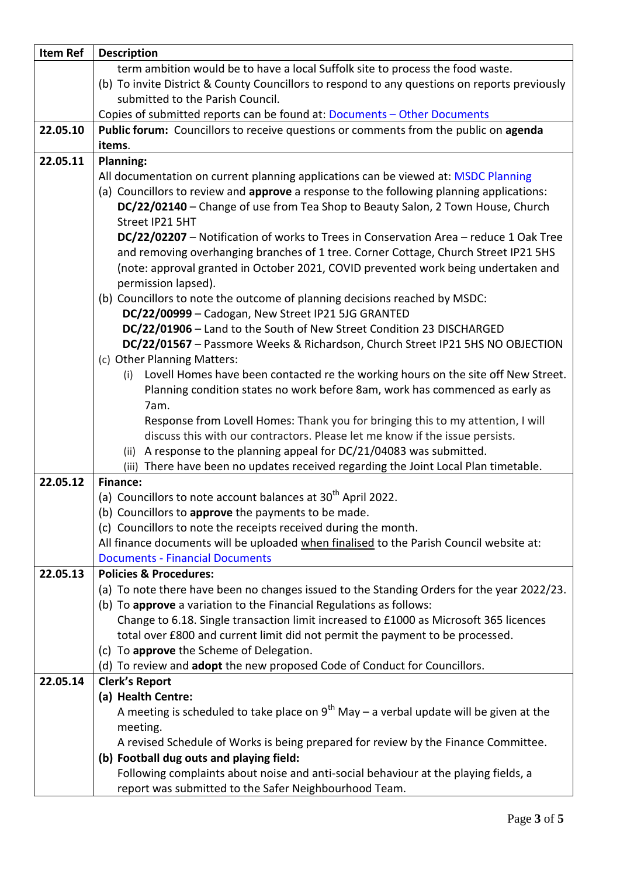| term ambition would be to have a local Suffolk site to process the food waste.<br>(b) To invite District & County Councillors to respond to any questions on reports previously<br>submitted to the Parish Council.<br>Copies of submitted reports can be found at: Documents - Other Documents<br>Public forum: Councillors to receive questions or comments from the public on agenda<br>22.05.10 |
|-----------------------------------------------------------------------------------------------------------------------------------------------------------------------------------------------------------------------------------------------------------------------------------------------------------------------------------------------------------------------------------------------------|
|                                                                                                                                                                                                                                                                                                                                                                                                     |
|                                                                                                                                                                                                                                                                                                                                                                                                     |
|                                                                                                                                                                                                                                                                                                                                                                                                     |
|                                                                                                                                                                                                                                                                                                                                                                                                     |
|                                                                                                                                                                                                                                                                                                                                                                                                     |
| items.                                                                                                                                                                                                                                                                                                                                                                                              |
| 22.05.11<br>Planning:                                                                                                                                                                                                                                                                                                                                                                               |
| All documentation on current planning applications can be viewed at: MSDC Planning                                                                                                                                                                                                                                                                                                                  |
| (a) Councillors to review and approve a response to the following planning applications:                                                                                                                                                                                                                                                                                                            |
| DC/22/02140 - Change of use from Tea Shop to Beauty Salon, 2 Town House, Church                                                                                                                                                                                                                                                                                                                     |
| Street IP21 5HT                                                                                                                                                                                                                                                                                                                                                                                     |
| DC/22/02207 - Notification of works to Trees in Conservation Area - reduce 1 Oak Tree                                                                                                                                                                                                                                                                                                               |
| and removing overhanging branches of 1 tree. Corner Cottage, Church Street IP21 5HS                                                                                                                                                                                                                                                                                                                 |
| (note: approval granted in October 2021, COVID prevented work being undertaken and                                                                                                                                                                                                                                                                                                                  |
| permission lapsed).                                                                                                                                                                                                                                                                                                                                                                                 |
| (b) Councillors to note the outcome of planning decisions reached by MSDC:                                                                                                                                                                                                                                                                                                                          |
| DC/22/00999 - Cadogan, New Street IP21 5JG GRANTED                                                                                                                                                                                                                                                                                                                                                  |
| DC/22/01906 - Land to the South of New Street Condition 23 DISCHARGED                                                                                                                                                                                                                                                                                                                               |
| DC/22/01567 - Passmore Weeks & Richardson, Church Street IP21 5HS NO OBJECTION                                                                                                                                                                                                                                                                                                                      |
| (c) Other Planning Matters:                                                                                                                                                                                                                                                                                                                                                                         |
| Lovell Homes have been contacted re the working hours on the site off New Street.<br>(i)                                                                                                                                                                                                                                                                                                            |
| Planning condition states no work before 8am, work has commenced as early as                                                                                                                                                                                                                                                                                                                        |
| 7am.                                                                                                                                                                                                                                                                                                                                                                                                |
| Response from Lovell Homes: Thank you for bringing this to my attention, I will                                                                                                                                                                                                                                                                                                                     |
| discuss this with our contractors. Please let me know if the issue persists.                                                                                                                                                                                                                                                                                                                        |
| (ii) A response to the planning appeal for DC/21/04083 was submitted.                                                                                                                                                                                                                                                                                                                               |
| (iii) There have been no updates received regarding the Joint Local Plan timetable.                                                                                                                                                                                                                                                                                                                 |
| 22.05.12<br><b>Finance:</b>                                                                                                                                                                                                                                                                                                                                                                         |
| (a) Councillors to note account balances at 30 <sup>th</sup> April 2022.                                                                                                                                                                                                                                                                                                                            |
| (b) Councillors to approve the payments to be made.                                                                                                                                                                                                                                                                                                                                                 |
| (c) Councillors to note the receipts received during the month.                                                                                                                                                                                                                                                                                                                                     |
| All finance documents will be uploaded when finalised to the Parish Council website at:                                                                                                                                                                                                                                                                                                             |
| <b>Documents - Financial Documents</b>                                                                                                                                                                                                                                                                                                                                                              |
| 22.05.13<br><b>Policies &amp; Procedures:</b>                                                                                                                                                                                                                                                                                                                                                       |
| (a) To note there have been no changes issued to the Standing Orders for the year 2022/23.<br>(b) To approve a variation to the Financial Regulations as follows:                                                                                                                                                                                                                                   |
| Change to 6.18. Single transaction limit increased to £1000 as Microsoft 365 licences                                                                                                                                                                                                                                                                                                               |
| total over £800 and current limit did not permit the payment to be processed.                                                                                                                                                                                                                                                                                                                       |
| (c) To approve the Scheme of Delegation.                                                                                                                                                                                                                                                                                                                                                            |
| (d) To review and adopt the new proposed Code of Conduct for Councillors.                                                                                                                                                                                                                                                                                                                           |
| 22.05.14<br><b>Clerk's Report</b>                                                                                                                                                                                                                                                                                                                                                                   |
| (a) Health Centre:                                                                                                                                                                                                                                                                                                                                                                                  |
| A meeting is scheduled to take place on $9^{th}$ May – a verbal update will be given at the                                                                                                                                                                                                                                                                                                         |
| meeting.                                                                                                                                                                                                                                                                                                                                                                                            |
| A revised Schedule of Works is being prepared for review by the Finance Committee.                                                                                                                                                                                                                                                                                                                  |
| (b) Football dug outs and playing field:                                                                                                                                                                                                                                                                                                                                                            |
| Following complaints about noise and anti-social behaviour at the playing fields, a                                                                                                                                                                                                                                                                                                                 |
| report was submitted to the Safer Neighbourhood Team.                                                                                                                                                                                                                                                                                                                                               |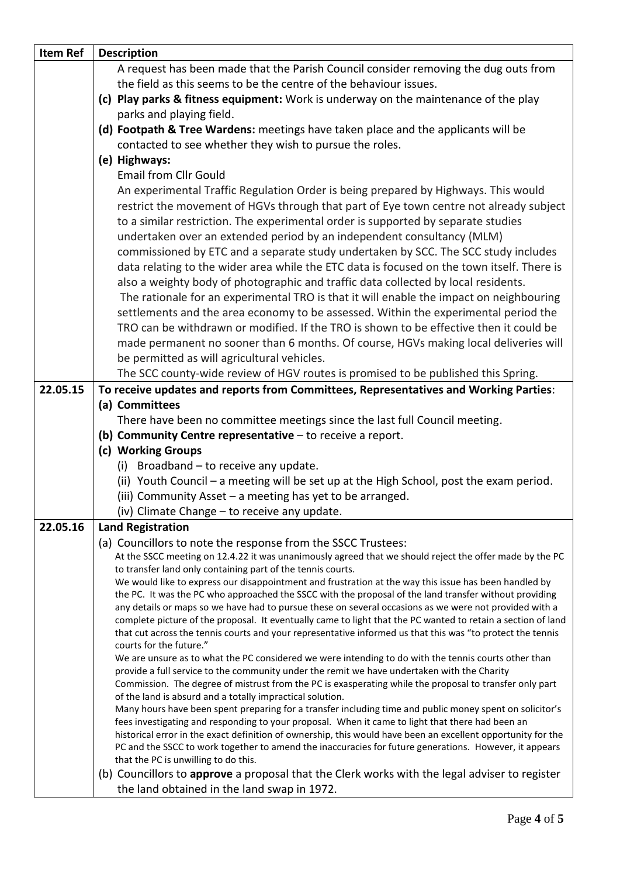| <b>Item Ref</b> | <b>Description</b>                                                                                                                                                                                                     |
|-----------------|------------------------------------------------------------------------------------------------------------------------------------------------------------------------------------------------------------------------|
|                 | A request has been made that the Parish Council consider removing the dug outs from                                                                                                                                    |
|                 | the field as this seems to be the centre of the behaviour issues.                                                                                                                                                      |
|                 | (c) Play parks & fitness equipment: Work is underway on the maintenance of the play                                                                                                                                    |
|                 | parks and playing field.                                                                                                                                                                                               |
|                 | (d) Footpath & Tree Wardens: meetings have taken place and the applicants will be                                                                                                                                      |
|                 | contacted to see whether they wish to pursue the roles.                                                                                                                                                                |
|                 | (e) Highways:                                                                                                                                                                                                          |
|                 | <b>Email from Cllr Gould</b>                                                                                                                                                                                           |
|                 | An experimental Traffic Regulation Order is being prepared by Highways. This would                                                                                                                                     |
|                 |                                                                                                                                                                                                                        |
|                 | restrict the movement of HGVs through that part of Eye town centre not already subject                                                                                                                                 |
|                 | to a similar restriction. The experimental order is supported by separate studies                                                                                                                                      |
|                 | undertaken over an extended period by an independent consultancy (MLM)                                                                                                                                                 |
|                 | commissioned by ETC and a separate study undertaken by SCC. The SCC study includes                                                                                                                                     |
|                 | data relating to the wider area while the ETC data is focused on the town itself. There is                                                                                                                             |
|                 | also a weighty body of photographic and traffic data collected by local residents.                                                                                                                                     |
|                 | The rationale for an experimental TRO is that it will enable the impact on neighbouring                                                                                                                                |
|                 | settlements and the area economy to be assessed. Within the experimental period the                                                                                                                                    |
|                 | TRO can be withdrawn or modified. If the TRO is shown to be effective then it could be                                                                                                                                 |
|                 | made permanent no sooner than 6 months. Of course, HGVs making local deliveries will                                                                                                                                   |
|                 | be permitted as will agricultural vehicles.                                                                                                                                                                            |
|                 | The SCC county-wide review of HGV routes is promised to be published this Spring.                                                                                                                                      |
| 22.05.15        | To receive updates and reports from Committees, Representatives and Working Parties:                                                                                                                                   |
|                 | (a) Committees                                                                                                                                                                                                         |
|                 | There have been no committee meetings since the last full Council meeting.                                                                                                                                             |
|                 | (b) Community Centre representative $-$ to receive a report.                                                                                                                                                           |
|                 | (c) Working Groups                                                                                                                                                                                                     |
|                 | (i) Broadband - to receive any update.                                                                                                                                                                                 |
|                 | (ii) Youth Council – a meeting will be set up at the High School, post the exam period.                                                                                                                                |
|                 | (iii) Community Asset - a meeting has yet to be arranged.                                                                                                                                                              |
|                 | (iv) Climate Change - to receive any update.                                                                                                                                                                           |
| 22.05.16        | <b>Land Registration</b>                                                                                                                                                                                               |
|                 | (a) Councillors to note the response from the SSCC Trustees:                                                                                                                                                           |
|                 | At the SSCC meeting on 12.4.22 it was unanimously agreed that we should reject the offer made by the PC                                                                                                                |
|                 | to transfer land only containing part of the tennis courts.                                                                                                                                                            |
|                 | We would like to express our disappointment and frustration at the way this issue has been handled by                                                                                                                  |
|                 | the PC. It was the PC who approached the SSCC with the proposal of the land transfer without providing                                                                                                                 |
|                 | any details or maps so we have had to pursue these on several occasions as we were not provided with a                                                                                                                 |
|                 | complete picture of the proposal. It eventually came to light that the PC wanted to retain a section of land                                                                                                           |
|                 | that cut across the tennis courts and your representative informed us that this was "to protect the tennis<br>courts for the future."                                                                                  |
|                 | We are unsure as to what the PC considered we were intending to do with the tennis courts other than                                                                                                                   |
|                 | provide a full service to the community under the remit we have undertaken with the Charity                                                                                                                            |
|                 | Commission. The degree of mistrust from the PC is exasperating while the proposal to transfer only part                                                                                                                |
|                 | of the land is absurd and a totally impractical solution.                                                                                                                                                              |
|                 | Many hours have been spent preparing for a transfer including time and public money spent on solicitor's                                                                                                               |
|                 | fees investigating and responding to your proposal. When it came to light that there had been an                                                                                                                       |
|                 | historical error in the exact definition of ownership, this would have been an excellent opportunity for the<br>PC and the SSCC to work together to amend the inaccuracies for future generations. However, it appears |
|                 | that the PC is unwilling to do this.                                                                                                                                                                                   |
|                 | (b) Councillors to approve a proposal that the Clerk works with the legal adviser to register                                                                                                                          |
|                 | the land obtained in the land swap in 1972.                                                                                                                                                                            |
|                 |                                                                                                                                                                                                                        |